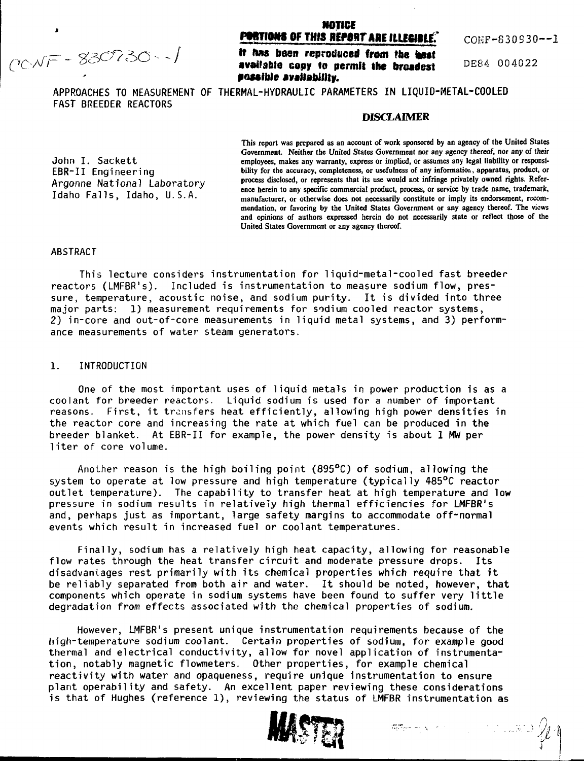*reNF - 830730-1* 

# **NOTICE PORTIONS OF THIS REPORT ARE ILLEGIBLE. CONF-830930--1**

/ **It Has been reproduced from the** to»t available copy to permit the broadest **possible availability.**

 $DE84$  004022

APPROACHES TO MEASUREMENT OF THERMAL-HYDRAULIC PARAMETERS IN LIQUID-METAL-COOLED FAST BREEDER REACTORS

#### **DISCLAIMER**

 $Idaho$  Falls, Idaho, U.S.A.

**This report was prepared as an account of work sponsored by an agency of the United States Government. Neither the United States Government nor any agency thereof, nor any of their** John I. Sackett employees, makes any warranty, express or implied, or assumes any legal liability or responsi-<br> **EBR-II** Engineering bility for the accuracy, completeness, or usefulness of any information, apparatus, produ bility for the accuracy, completeness, or usefulness of any information, apparatus, product, or Argonne National Laboratory **process disclosed, or represents that its use would not infringe privately owned rights. Refer**ence herein to any specific commercial product, process, or service by trade name, trademark, manufacturer, or otherwise does not necessarily constitute or imply its endorsement, recom**mendation, or favoring by the United States Government or any agency thereof. The views and opinions of authors expressed herein do not necessarily state or reflect those of the United States Government or any agency thereof.**

#### **ABSTRACT**

This lecture considers instrumentation for 1iquid-metal-cooled fast breeder reactors (LMFBR's). Included is instrumentation to measure sodium flow, pressure, temperature, acoustic noise, and sodium purity. It is divided into three major parts: 1) measurement requirements for sodium cooled reactor systems, 2) in-core and out-of-core measurements in liquid metal systems, and 3) performance measurements of water steam generators.

#### 1. INTRODUCTION

One of the most important uses of liquid metals in power production is as a coolant for breeder reactors. Liquid sodium is used for a number of important reasons. First, it transfers heat efficiently, allowing high power densities in the reactor core and increasing the rate at which fuel can be produced in the breeder blanket. At EBR-II for example, the power density is about 1 MW per liter of core volume.

Another reason is the high boiling point (895°C) of sodium, allowing the system to operate at low pressure and high temperature (typically 485°C reactor outlet temperature). The capability to transfer heat at high temperature and low pressure in sodium results in relatively high thermal efficiencies for LMFBR's and, perhaps just as important, large safety margins to accommodate off-normal events which result in increased fuel or coolant temperatures.

Finally, sodium has a relatively high heat capacity, allowing for reasonable flow rates through the heat transfer circuit and moderate pressure drops. Its disadvantages rest primarily with its chemical properties which require that it be reliably separated from both air and water. It should be noted, however, that components which operate in sodium systems have been found to suffer very little degradation from effects associated with the chemical properties of sodium.

However, LMFBR's present unique instrumentation requirements because of the high-temperature sodium coolant. Certain properties of sodium, for example good thermal and electrical conductivity, allow for novel application of instrumentation, notably magnetic flowmeters. Other properties, for example chemical reactivity with water and opaqueness, require unique instrumentation to ensure plant operability and safety. An excellent paper reviewing these considerations is that of Hughes (reference 1), reviewing the status of LMFBR instrumentation as

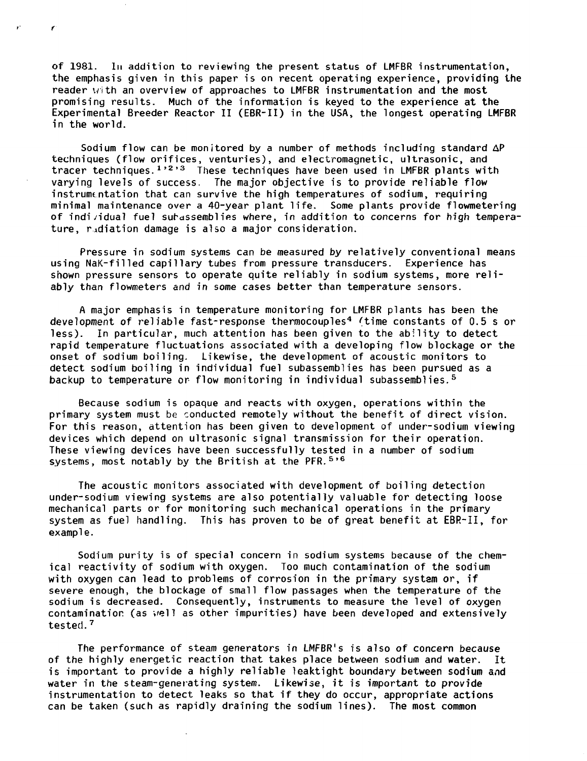of 1981. In addition to reviewing the present status of LMFBR instrumentation, the emphasis given in this paper is on recent operating experience, providing the reader with an overview of approaches to LMFBR instrumentation and the most promising results. Much of the information is keyed to the experience at the Experimental Breeder Reactor II (EBR-II) in the USA, the longest operating LMFBR in the world.

 $\bullet$  :

¥.

Sodium flow can be monitored by a number of methods including standard AP techniques (flow orifices, venturies), and electromagnetic, ultrasonic, and tracer techniques. $^{\text{1,2,3}}$  These techniques have been used in LMFBR plants with varying levels of success. The major objective is to provide reliable flow instrumentation that can survive the high temperatures of sodium, requiring minimal maintenance over a 40-year plant life. Some plants provide flowmetering of indi/idual fuel surassemblies where, in addition to concerns for high temperature, radiation damage is also a major consideration.

Pressure in sodium systems can be measured by relatively conventional means using NaK-filled capillary tubes from pressure transducers. Experience has shown pressure sensors to operate quite reliably in sodium systems, more reliably than flowmeters and in some cases better than temperature sensors.

A major emphasis in temperature monitoring for LMFBR plants has been the development of reliable fast-response thermocouples<sup>4</sup> (time constants of 0.5 s or less). In particular, much attention has been given to the ability to detect rapid temperature fluctuations associated with a developing flow blockage or the onset of sodium boiling. Likewise, the development of acoustic monitors to detect sodium boiling in individual fuel subassemblies has been pursued as a backup to temperature or flow monitoring in individual subassemblies.<sup>5</sup>

Because sodium is opaque and reacts with oxygen, operations within the primary system must be conducted remotely without the benefit of direct vision. For this reason, attention has been given to development of under-sodium viewing devices which depend on ultrasonic signal transmission for their operation. These viewing devices have been successfully tested in a number of sodium systems, most notably by the British at the PFR.<sup>5</sup>' 6

The acoustic monitors associated with development of boiling detection under-sodium viewing systems are also potentially valuable for detecting loose mechanical parts or for monitoring such mechanical operations in the primary system as fuel handling. This has proven to be of great benefit at EBR-II, for example.

Sodium purity is of special concern in sodium systems because of the chemical reactivity of sodium with oxygen. Too much contamination of the sodium with oxygen can lead to problems of corrosion in the primary system or, if severe enough, the blockage of small flow passages when the temperature of the sodium is decreased. Consequently, instruments to measure the level of oxygen contamination (as veil as other impurities) have been developed and extensively tested.<sup>7</sup>

The performance of steam generators in LMFBR's is also of concern because of the highly energetic reaction that takes place between sodium and water. It is important to provide a highly reliable leaktight boundary between sodium and water in the steam-generating system. Likewise, it is important to provide instrumentation to detect leaks so that if they do occur, appropriate actions can be taken (such as rapidly draining the sodium lines). The most common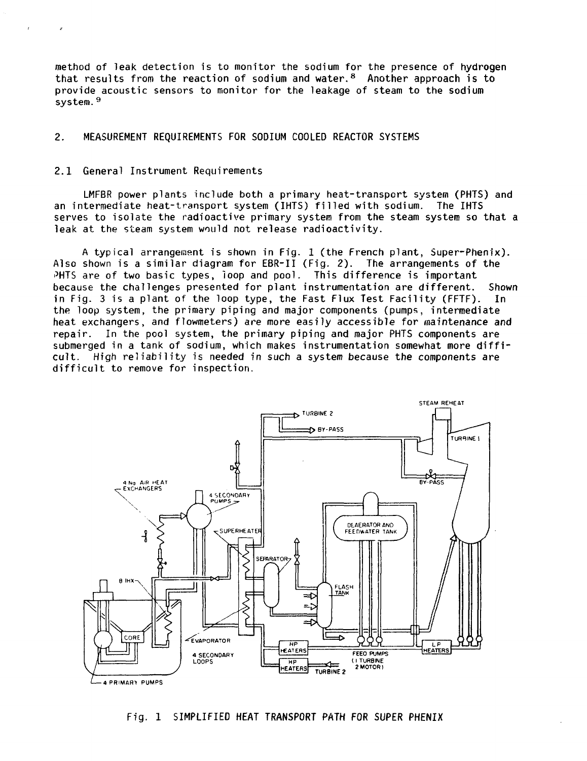method of leak detection is to monitor the sodium for the presence of hydrogen that results from the reaction of sodium and water.<sup>8</sup> Another approach is to provide acoustic sensors to monitor for the leakage of steam to the sodium system.<sup>9</sup>

## **2. MEASUREMENT REQUIREMENTS FOR SODIUM COOLED REACTOR SYSTEMS**

#### 2.1 General Instrument Requirements

 $\bar{f}$ 

LMFBR power plants include both a primary heat-transport system (PHTS) and an intermediate heat-transport system (IHTS) filled with sodium. The IHTS serves to isolate the radioactive primary system from the steam system so that a leak at the steam system would not release radioactivity.

A typical arrangement is shown in Fig. 1 (the French plant, Super-Phenix). Also shown is a similar diagram for EBR-II (Fig. 2). The arrangements of the PHTS are of two basic types, loop and pool. This difference is important because the challenges presented for plant instrumentation are different. Shown in Fig. 3 is a plant of the loop type, the Fast Flux Test Facility (FFTF). In the loop system, the primary piping and major components (pumps, intermediate heat exchangers, and flowmeters) are more easily accessible for maintenance and repair. In the pool system, the primary piping and major PHTS components are submerged in a tank of sodium, which makes instrumentation somewhat more difficult. High reliability is needed in such a system because the components are difficult to remove for inspection.



**Fig. 1 SIMPLIFIED HEAT TRANSPORT PATH FOR SUPER PHENIX**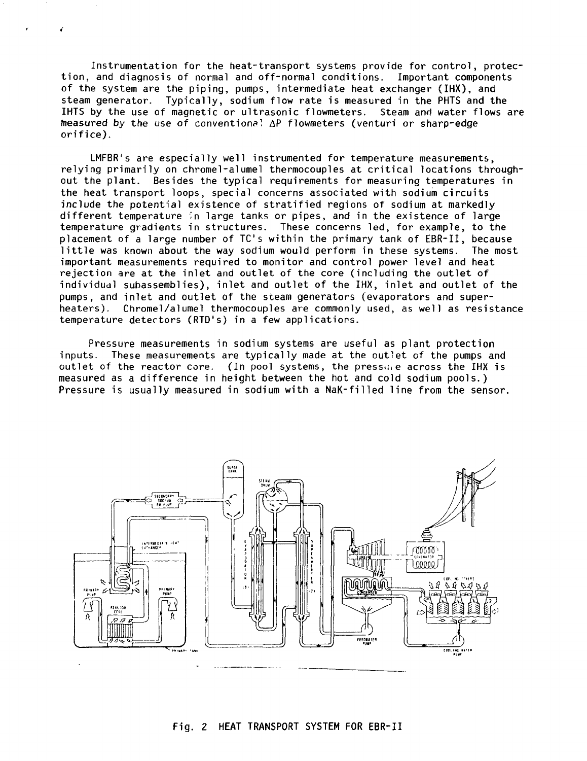Instrumentation for the heat-transport systems provide for control, protection, and diagnosis of normal and off-normal conditions. Important components of the system are the piping, pumps, intermediate heat exchanger (IHX), and steam generator. Typically, sodium flow rate is measured in the PHTS and the IHTS by the use of magnetic or ultrasonic flowmeters. Steam and water flows are measured by the use of conventional AP flowmeters (venturi or sharp-edge orifice).

LMFBR's are especially well instrumented for temperature measurements, relying primarily on chromel-alumel thermocouples at critical locations throughout the plant. Besides the typical requirements for measuring temperatures in the heat transport loops, special concerns associated with sodium circuits include the potential existence of stratified regions of sodium at markedly different temperature in large tanks or pipes, and in the existence of large temperature gradients in structures. These concerns led, for example, to the placement of a large number of TC's within the primary tank of EBR-II, because little was known about the way sodium would perform in these systems. The most important measurements required to monitor and control power level and heat rejection are at the inlet and outlet of the core (including the outlet of individual subassemblies), inlet and outlet of the IHX, inlet and outlet of the pumps, and inlet and outlet of the sceam generators (evaporators and superheaters). Chromel/alumel thermocouples are commonly used, as well as resistance temperature detectors (RTD's) in a few applications.

Pressure measurements in sodium systems are useful as plant protection inputs. These measurements are typically made at the outlet of the pumps and outlet of the reactor core. (In pool systems, the pressure across the IHX is measured as a difference in height between the hot and cold sodium pools.) Pressure is usually measured in sodium with a NaK-filled line from the sensor.

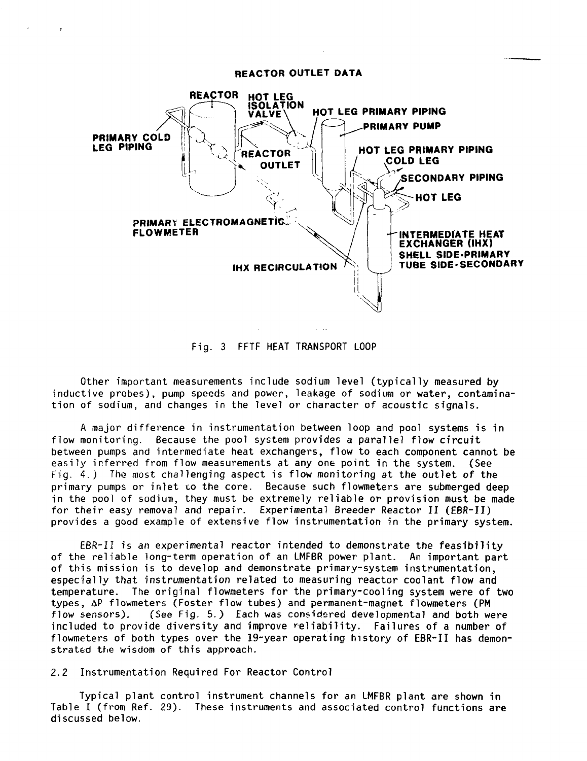## **REACTOR OUTLET DATA**



Fig. 3 FFTF HEAT TRANSPORT LOOP

Other important measurements include sodium level (typically measured by inductive probes), pump speeds and power, leakage of sodium or water, contamination of sodium, and changes in the level or character of acoustic signals.

A major difference in instrumentation between loop and pool systems is in flow monitoring. Because the pool system provides a parallel flow circuit between pumps and intermediate heat exchangers, flow to each component cannot be easily inferred from flow measurements at any one point in the system. (See Fig. 4.) The most challenging aspect is flow monitoring at the outlet of the primary pumps or inlet to the core. Because such flowmeters are submerged deep in the pool of sodium, they must be extremely reliable or provision must be made for their easy removal and repair. Experimental Breeder Reactor II (EBR-II) provides a good example of extensive flow instrumentation in the primary system.

EBR-II is an experimental reactor intended to demonstrate the feasibility of the reliable long-term operation of an LMFBR power plant. An important part of this mission is to develop and demonstrate primary-system instrumentation, especially that instrumentation related to measuring reactor coolant flow and temperature. The original flowmeters for the primary-cooling system were of two types, AP flowmeters (Foster flow tubes) and permanent-magnet flowmeters (PM flow sensors). (See Fig. 5.) Each was considered developmental and both were included to provide diversity and improve reliability. Failures of a number of flowmeters of both types over the 19-year operating history of EBR-II has demonstrated the wisdom of this approach.

2.2 Instrumentation Required For Reactor Control

Typical plant control instrument channels for an LMFBR plant are shown in Table I (from Ref. 29). These instruments and associated control functions are discussed below.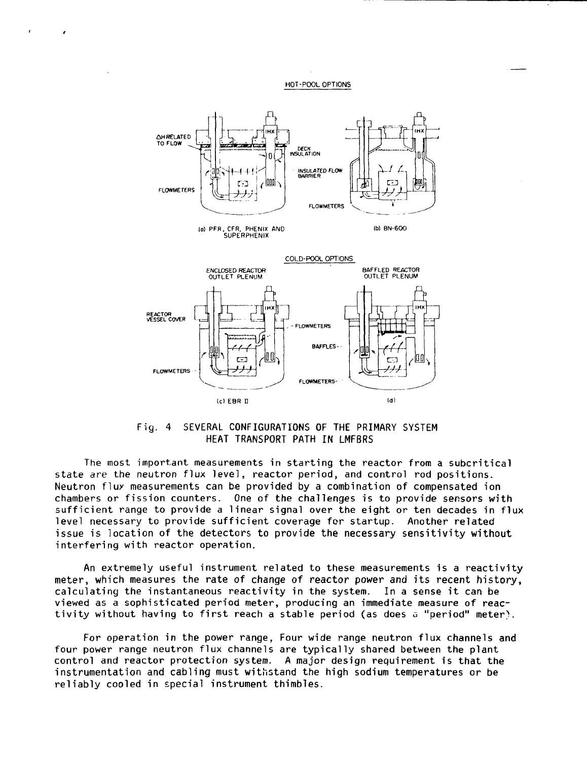HOT-POOL OPTIONS



Fig. 4 SEVERAL CONFIGURATIONS OF THE PRIMARY SYSTEM HEAT TRANSPORT PATH IN LMFBRS

The most important measurements in starting the reactor from a subcritical state are the neutron flux level, reactor period, and control rod positions. Neutron flux measurements can be provided by a combination of compensated ion chambers or fission counters. One of the challenges is to provide sensors with sufficient range to provide a linear signal over the eight or ten decades in flux level necessary to provide sufficient coverage for startup. Another related issue is location of the detectors to provide the necessary sensitivity without interfering with reactor operation.

An extremely useful instrument related to these measurements is a reactivity meter, which measures the rate of change of reactor power and its recent history, calculating the instantaneous reactivity in the system. In a sense it can be viewed as a sophisticated period meter, producing an immediate measure of reactivity without having to first reach a stable period (as does a "period" meter).

For operation in the power range, Four wide range neutron flux channels and four power range neutron flux channels are typically shared between the plant control and reactor protection system. A major design requirement is that the instrumentation and cabling must withstand the high sodium temperatures or be reliably cooled in special instrument thimbles.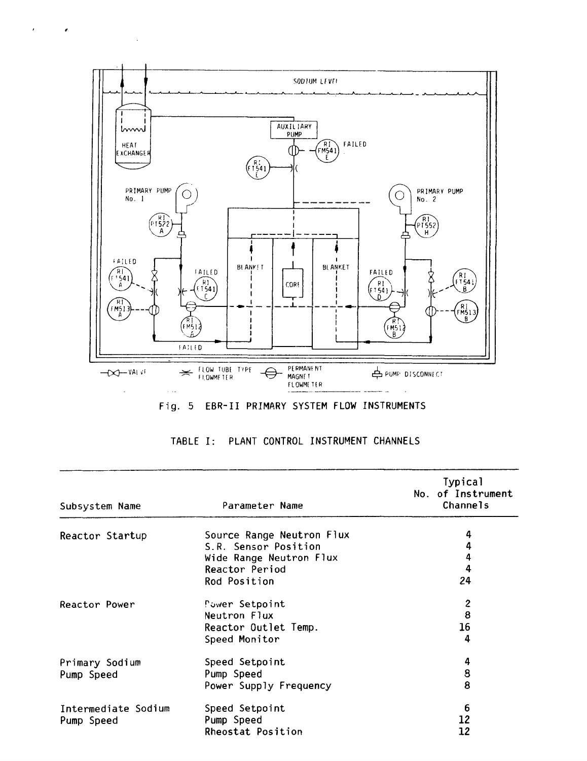

 $\epsilon$  and  $\epsilon$ 

 $\sim$  .

|  |  |  |  |  | Fig. 5 EBR-II PRIMARY SYSTEM FLOW INSTRUMENTS |
|--|--|--|--|--|-----------------------------------------------|
|--|--|--|--|--|-----------------------------------------------|

| Subsystem Name      | Parameter Name                                    | <b>Typical</b><br>No. of Instrument<br>Channels |
|---------------------|---------------------------------------------------|-------------------------------------------------|
|                     |                                                   | 4                                               |
| Reactor Startup     | Source Range Neutron Flux<br>S.R. Sensor Position | 4                                               |
|                     | Wide Range Neutron Flux                           | 4                                               |
|                     | Reactor Period                                    | 4                                               |
|                     | Rod Position                                      | 24                                              |
| Reactor Power       | Power Setpoint                                    | $\mathbf{2}$                                    |
|                     | Neutron Flux                                      | 8                                               |
|                     | Reactor Outlet Temp.                              | 16                                              |
|                     | Speed Monitor                                     | 4                                               |
| Primary Sodium      | Speed Setpoint                                    | 4                                               |
| Pump Speed          | Pump Speed                                        | 8                                               |
|                     | Power Supply Frequency                            | 8                                               |
| Intermediate Sodium | Speed Setpoint                                    | 6                                               |
| Pump Speed          | Pump Speed                                        | 12                                              |
|                     | Rheostat Position                                 | 12                                              |

| TABLE I: PLANT CONTROL INSTRUMENT CHANNELS |  |
|--------------------------------------------|--|
|--------------------------------------------|--|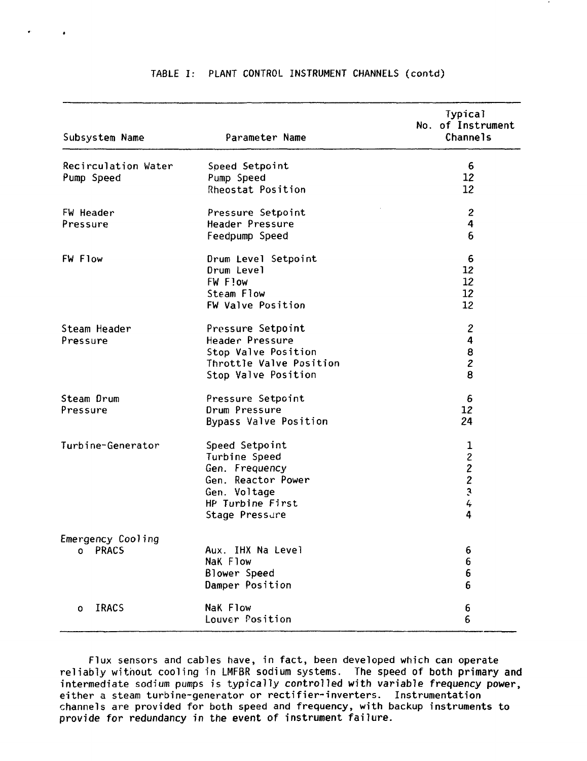| Subsystem Name      | Parameter Name          | Typical<br>No. of Instrument<br><b>Channels</b> |
|---------------------|-------------------------|-------------------------------------------------|
|                     |                         |                                                 |
| Recirculation Water | Speed Setpoint          | 6                                               |
| Pump Speed          | Pump Speed              | 12                                              |
|                     | Rheostat Position       | 12                                              |
| FW Header           | Pressure Setpoint       | $\overline{2}$                                  |
| Pressure            | Header Pressure         | 4                                               |
|                     | Feedpump Speed          | 6                                               |
| <b>FW Flow</b>      | Drum Level Setpoint     | 6                                               |
|                     | Drum Level              | 12                                              |
|                     | FW Flow                 | 12                                              |
|                     | Steam Flow              | 12                                              |
|                     | FW Valve Position       | 12 <sup>2</sup>                                 |
| Steam Header        | Pressure Setpoint       | $\overline{c}$                                  |
| Pressure            | Header Pressure         | 4                                               |
|                     | Stop Valve Position     | 8                                               |
|                     | Throttle Valve Position | $\mathbf{z}$                                    |
|                     | Stop Valve Position     | 8                                               |
| Steam Drum          | Pressure Setpoint       | 6                                               |
| Pressure            | Drum Pressure           | 12                                              |
|                     | Bypass Valve Position   | 24                                              |
| Turbine-Generator   | Speed Setpoint          | $\mathbf 1$                                     |
|                     | Turbine Speed           | $\mathbf{2}$                                    |
|                     | Gen. Frequency          |                                                 |
|                     | Gen. Reactor Power      | 222                                             |
|                     | Gen. Voltage            |                                                 |
|                     | HP Turbine First        |                                                 |
|                     | Stage Pressure          | 4                                               |
| Emergency Cooling   |                         |                                                 |
| PRACS<br>o          | Aux. IHX Na Level       | 6                                               |
|                     | NaK Flow                | 6                                               |
|                     | Blower Speed            | 6                                               |
|                     | Damper Position         | 6                                               |
| <b>IRACS</b><br>O   | <b>NaK Flow</b>         | 6                                               |
|                     | Louver Position         | 6                                               |

# TABLE I: PLANT CONTROL INSTRUMENT CHANNELS (contd)

 $\overline{a}$ 

Flux sensors and cables have, in fact, been developed which can operate reliably without cooling in LMFBR sodium systems. The speed of both primary and intermediate sodium pumps is typically controlled with variable frequency power, either a steam turbine-generator or rectifier-inverters. Instrumentation channels are provided for both speed and frequency, with backup instruments to provide for redundancy in the event of instrument failure.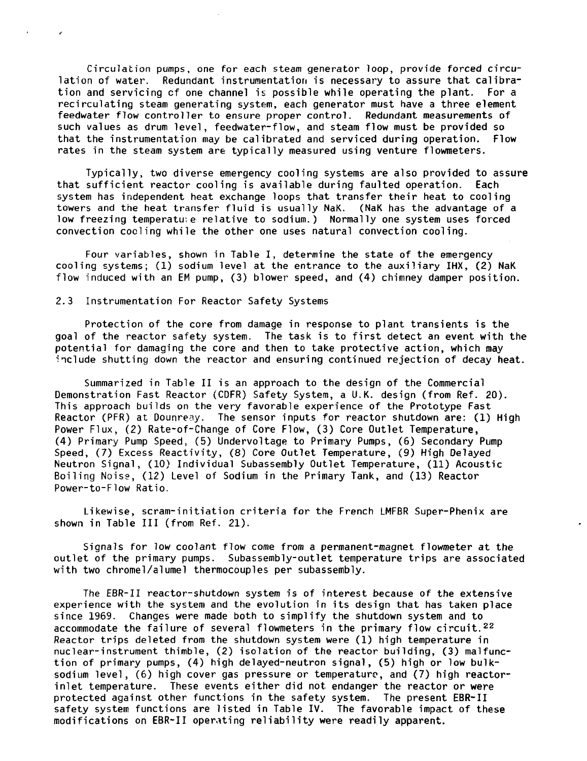Circulation pumps, one for each steam generator loop, provide forced circulation of water. Redundant instrumentation is necessary to assure that calibration and servicing cf one channel is possible while operating the plant. For a recirculating steam generating system, each generator must have a three element feedwater flow controller to ensure proper control. Redundant measurements of such values as drum level, feedwater-flow, and steam flow must be provided so that the instrumentation may be calibrated and serviced during operation. Flow rates in the steam system are typically measured using venture flowmeters.

Typically, two diverse emergency cooling systems are also provided to assure that sufficient reactor cooling is available during faulted operation. Each system has independent heat exchange loops that transfer their heat to cooling towers and the heat transfer fluid is usually NaK. (NaK has the advantage of a low freezing temperature relative to sodium.) Normally one system uses forced convection coding while the other one uses natural convection cooling.

Four variables, shown in Table I, determine the state of the emergency cooling systems; (1) sodium level at the entrance to the auxiliary IHX, (2) NaK flow induced with an EM pump, (3) blower speed, and (4) chimney damper position.

# 2.3 Instrumentation For Reactor Safety Systems

¥.

 $\mathbf{z}$ 

Protection of the core from damage in response to plant transients is the goal of the reactor safety system. The task is to first detect an event with the potential for damaging the core and then to take protective action, which may "include shutting down the reactor and ensuring continued rejection of decay heat.

Summarized in Table II is an approach to the design of the Commercial Demonstration Fast Reactor (CDFR) Safety System, a U.K. design (from Ref. 20). This approach builds on the very favorable experience of the Prototype Fast Reactor (PFR) at Dounreay. The sensor inputs for reactor shutdown are: (1) High Power Flux, (2) Rate-of-Change of Core Flow, (3) Core Outlet Temperature, (4) Primary Pump Speed, (5) Undervoltage to Primary Pumps, (6) Secondary Pump Speed, (7) Excess Reactivity, (8) Core Outlet Temperature, (9) High Delayed Neutron Signal, (10) Individual Subassembly Outlet Temperature, (11) Acoustic Boiling Noise, (12) Level of Sodium in the Primary Tank, and (13) Reactor Power-to-Flow Ratio.

Likewise, scram-initiation criteria for the French LMFBR Super-Phenix are shown in Table III (from Ref. 21).

Signals for low coolant flow come from a permanent-magnet flowmeter at the outlet of the primary pumps. Subassembly-outlet temperature trips are associated with two chromel/alumel thermocouples per subassembly.

The EBR-II reactor-shutdown system is of interest because of the extensive experience with the system and the evolution in its design that has taken place since 1969. Changes were made both to simplify the shutdown system and to accommodate the failure of several flowmeters in the primary flow circuit.<sup>22</sup> Reactor trips deleted from the shutdown system were (1) high temperature in nuclear-instrument thimble, (2) isolation of the reactor building, (3) malfunction of primary pumps, (4) high delayed-neutron signal, (5) high or low bulksodium level, (6) high cover gas pressure or temperature, and (7) high reactorinlet temperature. These events either did not. endanger the reactor or were protected against other functions in the safety system. The present EBR-II safety system functions are listed in Table IV. The favorable impact of these modifications on EBR-II operating reliability were readily apparent.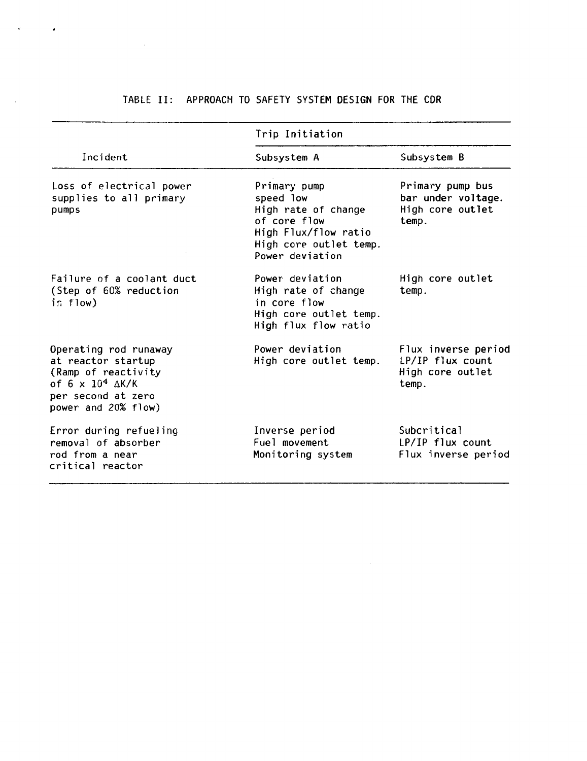# **TABLE II: APPROACH TO SAFETY SYSTEM DESIGN FOR THE CDR**

 $\mathbf{r}$ 

 $\bar{\mathcal{A}}$ 

 $\sim 10^{11}$ 

|                                                                                                                                               | Trip Initiation                                                                                                                       |                                                                      |  |  |  |
|-----------------------------------------------------------------------------------------------------------------------------------------------|---------------------------------------------------------------------------------------------------------------------------------------|----------------------------------------------------------------------|--|--|--|
| Incident                                                                                                                                      | Subsystem A                                                                                                                           | Subsystem B                                                          |  |  |  |
| Loss of electrical power<br>supplies to all primary<br>pumps                                                                                  | Primary pump<br>speed low<br>High rate of change<br>of core flow<br>High Flux/flow ratio<br>High core outlet temp.<br>Power deviation | Primary pump bus<br>bar under voltage.<br>High core outlet<br>temp.  |  |  |  |
| Failure of a coolant duct<br>(Step of 60% reduction<br>in flow)                                                                               | Power deviation<br>High rate of change<br>in core flow<br>High core outlet temp.<br>High flux flow ratio                              | High core outlet<br>temp.                                            |  |  |  |
| Operating rod runaway<br>at reactor startup<br>(Ramp of reactivity<br>of 6 x $10^4$ $\Delta K/K$<br>per second at zero<br>power and 20% flow) | Power deviation<br>High core outlet temp.                                                                                             | Flux inverse period<br>LP/IP flux count<br>High core outlet<br>temp. |  |  |  |
| Error during refueling<br>removal of absorber<br>rod from a near<br>critical reactor                                                          | Inverse period<br>Fuel movement<br>Monitoring system                                                                                  | Subcritical<br>LP/IP flux count<br>Flux inverse period               |  |  |  |

 $\mathcal{L}^{\text{max}}_{\text{max}}$  and  $\mathcal{L}^{\text{max}}_{\text{max}}$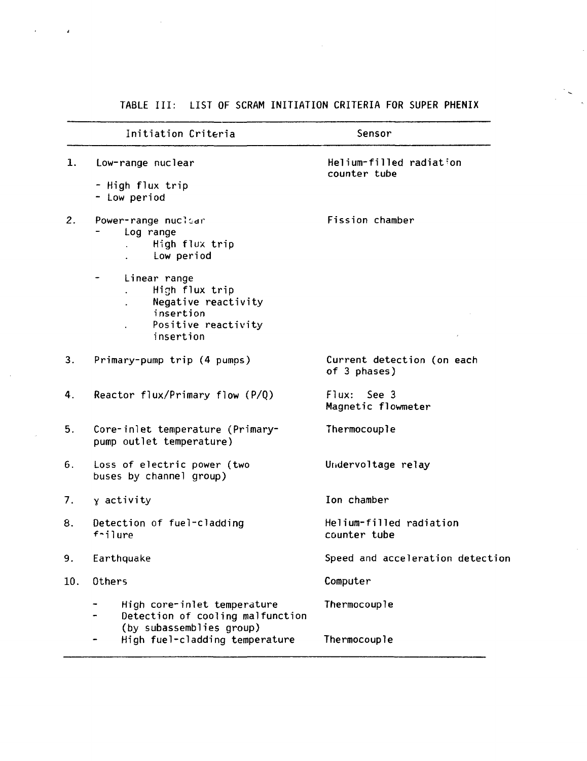|     | Initiation Criteria                                                                                    | Sensor                                     |
|-----|--------------------------------------------------------------------------------------------------------|--------------------------------------------|
| 1.  | Low-range nuclear                                                                                      | Helium-filled radiation<br>counter tube    |
|     | - High flux trip<br>- Low period                                                                       |                                            |
| 2.  | Power-range nuclear<br>Log range<br>High flux trip<br>Low period                                       | Fission chamber                            |
|     | Linear range<br>High flux trip<br>Negative reactivity<br>insertion<br>Positive reactivity<br>insertion |                                            |
| 3.  | Primary-pump trip (4 pumps)                                                                            | Current detection (on each<br>of 3 phases) |
| 4.  | Reactor flux/Primary flow (P/Q)                                                                        | See 3<br>Flux:<br>Magnetic flowmeter       |
| 5.  | Core-inlet temperature (Primary-<br>pump outlet temperature)                                           | Thermocouple                               |
| 6.  | Loss of electric power (two<br>buses by channel group)                                                 | Undervoltage relay                         |
| 7.  | y activity                                                                                             | Ion chamber                                |
| 8.  | Detection of fuel-cladding<br>f-ilure                                                                  | Helium-filled radiation<br>counter tube    |
| 9.  | Earthquake                                                                                             | Speed and acceleration detection           |
| 10. | Others                                                                                                 | Computer                                   |
|     | High core-inlet temperature<br>Detection of cooling malfunction<br>(by subassemblies group)            | Thermocouple                               |
|     | High fuel-cladding temperature                                                                         | Thermocouple                               |

 $\sim$ 

# **TABLE III: LIST OF SCRAM INITIATION CRITERIA FOR SUPER PHENIX**

 $\frac{1}{2} \sum_{i=1}^{n} \frac{1}{2} \sum_{j=1}^{n} \frac{1}{2} \sum_{j=1}^{n} \frac{1}{2} \sum_{j=1}^{n} \frac{1}{2} \sum_{j=1}^{n} \frac{1}{2} \sum_{j=1}^{n} \frac{1}{2} \sum_{j=1}^{n} \frac{1}{2} \sum_{j=1}^{n} \frac{1}{2} \sum_{j=1}^{n} \frac{1}{2} \sum_{j=1}^{n} \frac{1}{2} \sum_{j=1}^{n} \frac{1}{2} \sum_{j=1}^{n} \frac{1}{2} \sum_{j=1}^{n$ 

 $\sim$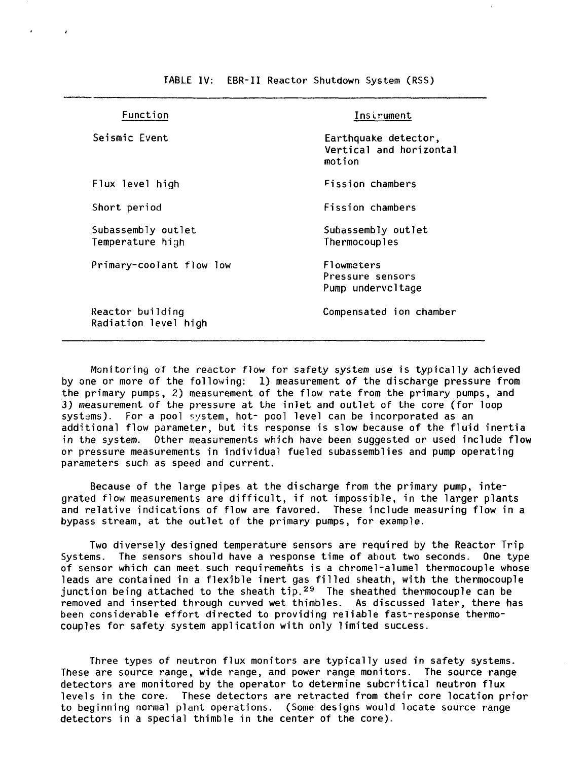| Function                                 | Instrument                                                |
|------------------------------------------|-----------------------------------------------------------|
| Seismic Event                            | Earthquake detector,<br>Vertical and horizontal<br>motion |
| Flux level high                          | Fission chambers                                          |
| Short period                             | Fission chambers                                          |
| Subassembly outlet<br>Temperature high   | Subassembly outlet<br>Thermocouples                       |
| Primary-coolant flow low                 | Flowmeters<br>Pressure sensors<br>Pump undervcltage       |
| Reactor building<br>Radiation level high | Compensated ion chamber                                   |

TABLE IV: EBR-II Reactor Shutdown System (RSS)

Monitoring of the reactor flow for safety system use is typically achieved by one or more of the following: 1) measurement of the discharge pressure from the primary pumps, 2) measurement of the flow rate from the primary pumps, and 3) measurement of the pressure at the inlet and outlet of the core (for loop systems). For a pool system, hot- pool level can be incorporated as an additional flow parameter, but its response is slow because of the fluid inertia in the system. Other measurements which have been suggested or used include flow or pressure measurements in individual fueled subassemblies and pump operating parameters such as speed and current.

Because of the large pipes at the discharge from the primary pump, integrated flow measurements are difficult, if not impossible, in the larger plants and relative indications of flow are favored. These include measuring flow in a bypass stream, at the outlet of the primary pumps, for example.

Two diversely designed temperature sensors are required by the Reactor Trip Systems. The sensors should have a response time of about two seconds. One type of sensor which can meet such requirements is a chromel-alumel thermocouple whose leads are contained in a flexible inert gas filled sheath, with the thermocouple junction being attached to the sheath  $tip.^{29}$  The sheathed thermocouple can be removed and inserted through curved wet thimbles. As discussed later, there has been considerable effort directed to providing reliable fast-response thermocouples for safety system application with only limited success.

Three types of neutron flux monitors are typically used in safety systems. These are source range, wide range, and power range monitors. The source range detectors are monitored by the operator to determine subcritical neutron flux levels in the core. These detectors are retracted from their core location prior to beginning normal plant operations. (Some designs would locate source range detectors in a special thimble in the center of the core).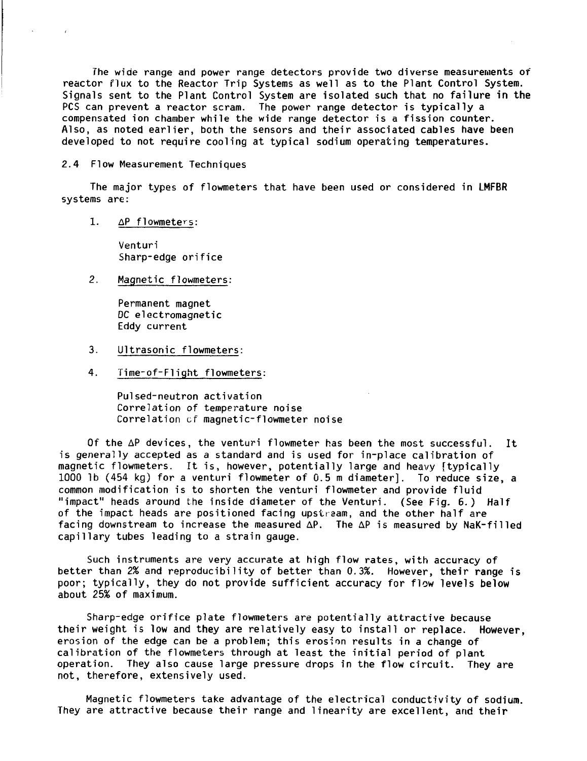**The wide range and power range detectors provide two diverse measurements of reactor flux to the Reactor Trip Systems as well as to the Plant Control System. Signals sent to the Plant Control System are isolated such that no failure in the PCS can prevent a reactor scram. The power range detector is typically a compensated ion chamber while the wide range detector is a fission counter. Also, as noted earlier, both the sensors and their associated cables have been developed to not require cooling at typical sodium operating temperatures.**

**2.4 Flow Measurement Techniques**

 $\mathcal{L}$ 

**The major types of flowmeters that have been used or considered in LMFBR systems are:**

**1. AP flowmeters:**

**Venturi Sharp-edge orifice**

**2. Magnetic flowmeters:**

**Permanent magnet DC electromagnetic Eddy current**

- **3. Ultrasonic flowmeters:**
- **4. Time-of-Flight flowmeters:**

**Pulsed-neutron activation Correlation of temperature noise Correlation cf magnetic-flowmeter noise**

**Of the AP devices, the venturi flowmeter has been the most successful. It is generally accepted as a standard and is used for in-place calibration of magnetic flowmeters. It is, however, potentially large and heavy [typically 1000 1b (454 kg) for a venturi flowmeter of 0.5 m diameter]. To reduce size, a common modification is to shorten the venturi flowmeter and provide fluid "impact" heads around the inside diameter of the Venturi. (See Fig. 6.) Half of the impact heads are positioned facing upstream, and the other half are facing downstream to increase the measured AP. The AP is measured by NaK-filled capillary tubes leading to a strain gauge.**

**Such instruments are very accurate at high flow rates, with accuracy of better than 2% and reproducibi1ity of better than 0.3%. However, their range is poor; typically, they do not provide sufficient accuracy for flow levels below about 25% of maximum.**

**Sharp-edge orifice plate flowmeters are potentially attractive because their weight is low and they are relatively easy to install or replace. However, erosion of the edge can be a problem; this erosion results in a change of calibration of the flowmeters through at least the initial period of plant operation. They also cause large pressure drops in the flow circuit. They are not, therefore, extensively used.**

**Magnetic flowmeters take advantage of the electrical conductivity of sodium. They are attractive because their range and linearity are excellent, arid their**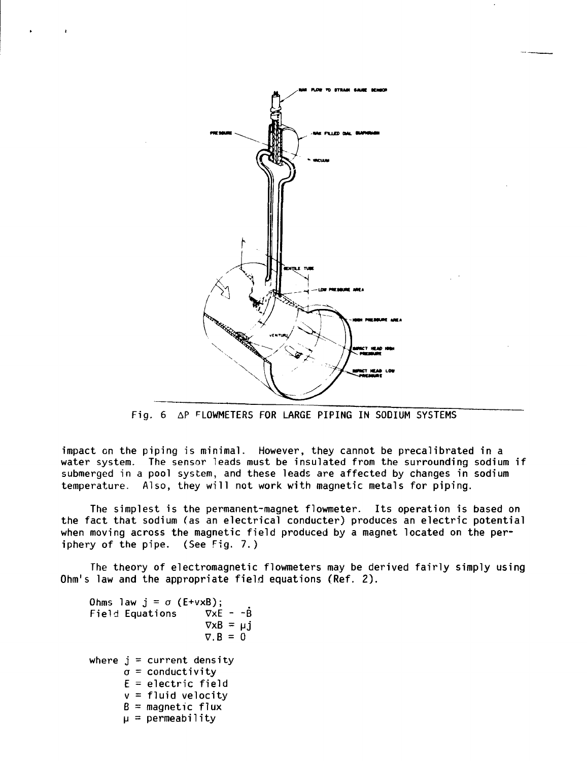

Fig. 6 AP FLOWMETERS FOR LARGE PIPING IN SODIUM SYSTEMS

impact en the piping is minimal. However, they cannot be precaiibrated in a water system. The sensor leads must be insulated from the surrounding sodium if submerged in a pool system, and these leads are affected by changes in sodium temperature. Also, they will not work with magnetic metals for piping.

The simplest is the permanent-magnet flowmeter. Its operation is based on the fact that sodium (as an electrical conducter) produces an electric potential when moving across the magnetic field produced by a magnet located on the periphery of the pipe. (See Fig. 7.)

The theory of electromagnetic flowmeters may be derived fairly simply using Ohm's law and the appropriate field equations (Ref. 2).

```
Ohms law j = \sigma (E+vxB);<br>Field Equations \nabla x E - \sigma \hat{B}Field Equations
                     \nabla \times B = \mu j\nabla \cdot \mathbf{B} = 0where j = current density
\sigma = conductivity
E = electric field
v = fluid velocity
B = magnetic flux
\mu = permeability
```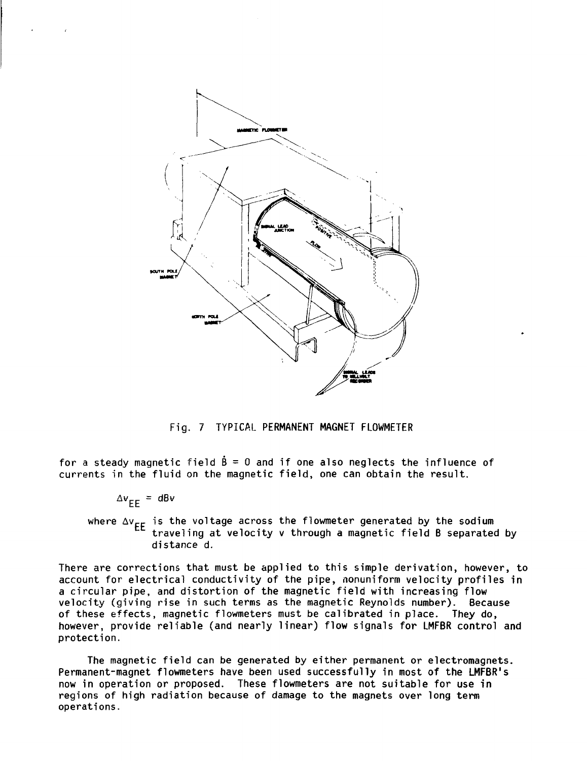

**Fig. 7 TYPICAL PERMANENT MAGNET FLOWMETER**

**for a steady magnetic field B = 0 and if one also neglects the influence of currents in the fluid on the magnetic field, one can obtain the result.**

 $\Delta v$ **EE** = **dB**v

**where Av EE is the voltage across the flowmeter generated by the sodium traveling at velocity v through a magnetic field B separated by distance d.**

**There are corrections that must be applied to this simple derivation, however, to account for electrical conductivity of the pipe, nonuniform velocity profiles in a circular pipe, and distortion of the magnetic field with increasing flow velocity (giving rise in such terms as the magnetic Reynolds number). Because of these effects, magnetic flowmeters must be calibrated in place. They do, however, provide reliable (and nearly linear) flow signals for LMFBR control and protection.**

**The magnetic field can be generated by either permanent or electromagnets. Permanent-magnet flowmeters have been used successfully in most of the LMFBR<sup>1</sup>s now in operation or proposed. These flowmeters are not suitable for use in regions of high radiation because of damage to the magnets over long term operations.**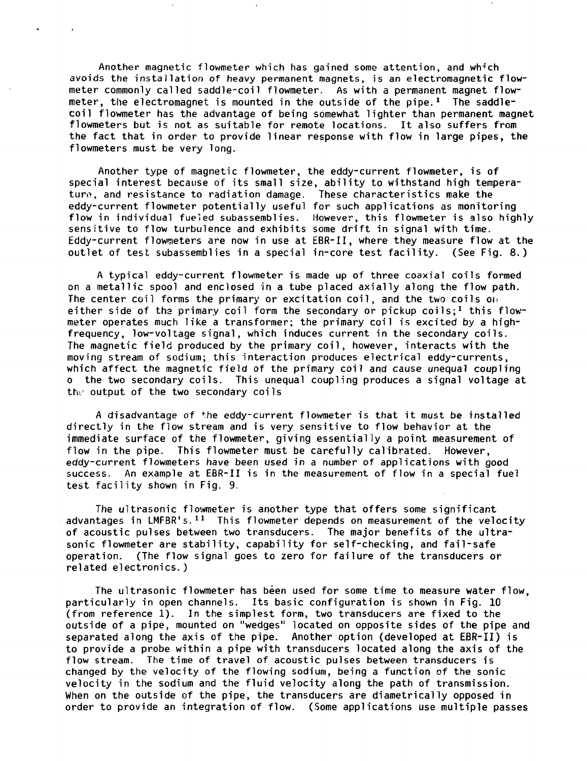Another magnetic flowmeter which has gained some attention, and wh^'ch avoids the installation of heavy permanent magnets, is an electromagnetic flowmeter commonly called saddle-coil flowmeter. As with a permanent magnet flowmeter, the electromagnet is mounted in the outside of the pipe.<sup>1</sup> The saddlecoil flowmeter has the advantage of being somewhat lighter than permanent magnet fiowmeters but is not as suitable for remote locations. It also suffers from the fact that in order to provide linear response with flow in large pipes, the flowmeters must be very long.

 $\ddot{\phantom{a}}$ 

Another type of magnetic flowmeter, the eddy-current flowmeter, is of special interest because of its small size, ability to withstand high temperature, and resistance to radiation damage. These characteristics make the eddy-current flowmeter potentially useful for such applications as monitoring flow in individual fueled subassemblies. However, this flowmeter is also highly sensitive to flow turbulence and exhibits some drift in signal with time. Eddy-current flowmeters are now in use at EBR-II, where they measure flow at the outlet of test subassemblies in a special in-core test facility. (See Fig. 8.)

A typical eddy-current flowmeter is made up of three coaxial coils formed on a metallic spool and enclosed in a tube placed axially along the flow path. The center coil forms the primary or excitation coil, and the two coils on either side of the primary coil form the secondary or pickup coils:<sup>1</sup> this flowmeter operates much like a transformer; the primary coil is excited by a highfrequency, low-voltage signal, which induces current in the secondary coils. The magnetic field produced by the primary coil, however, interacts with the moving stream of sodium; this interaction produces electrical eddy-currents, which affect the magnetic field of the primary coil and cause unequal coupling o the two secondary coils. This unequal coupling produces a signal voltage at the output of the two secondary coils.

A disadvantage of the eddy-current flowmeter is that it must be installed directly in the flow stream and is very sensitive to flow behavior at the immediate surface of the flowmeter, giving essentially a point measurement of flow in the pipe. This flowmeter must be carefully calibrated. However, eddy-current flowmeters have been used in a number of applications with good success. An example at EBR-II is in the measurement of flow in a special fuel test facility shown in Fig. 9.

The ultrasonic flowmeter is another type that offers some significant advantages in LMFBR's.<sup>11</sup> This flowmeter depends on measurement of the velocity of acoustic pulses between two transducers. The major benefits of the ultrasonic flowmeter are stability, capability for self-checking, and fail-safe operation. (The flow signal goes to zero for failure of the transducers or related electronics.)

The ultrasonic flowmeter has been used for some time to measure water flow, particularly in open channels. Its basic configuration is shown in Fig. 10 (from reference 1). In the simplest form, two transducers are fixed to the outside of a pipe, mounted on "wedges" located on opposite sides of the pipe and separated along the axis of the pipe. Another option (developed at EBR-II) is to provide a probe within a pipe with transducers located along the axis of the flow stream. The time of travel of acoustic pulses between transducers is changed by the velocity of the flowing sodium, being a function of the sonic velocity in the sodium and the fluid velocity along the path of transmission. When on the outside of the pipe, the transducers are diametrically opposed in order to provide an integration of flow. (Some applications use multiple passes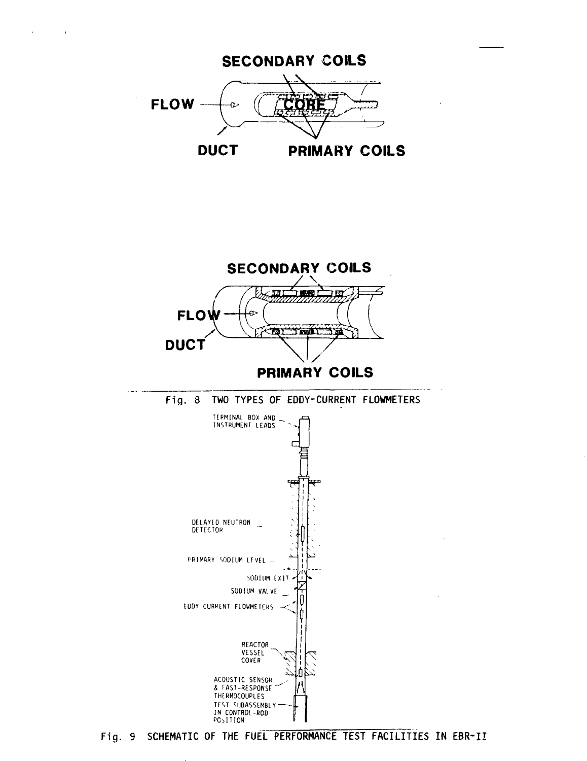

 $\mathbf{r}$ 

 $\sim 10$ 



**Fig. 9 SCHEMATIC OF THE FUEL PERFORMANCE TEST FACILITIES IN EBR-II**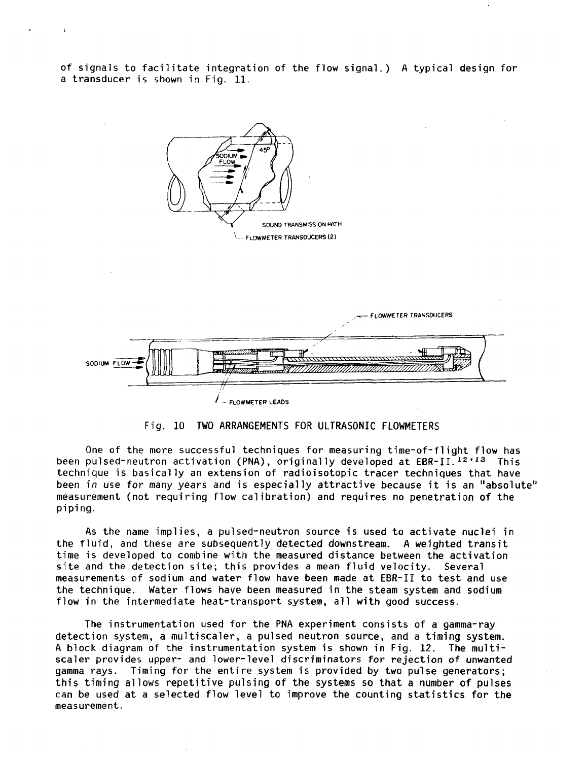of signals to facilitate integration of the flow signal.) A typical design for a transducer is shown in Fig. 11.





#### Fig. 10 TWO ARRANGEMENTS FOR ULTRASONIC FLOWMETERS

One of the more successful techniques for measuring time-of-flight flow has been pulsed-neutron activation (PNA), originally developed at EBR-II.<sup>12,13</sup> This technique is basically an extension of radioisotopic tracer techniques that have been in use for many years and is especially attractive because it is an "absolute" measurement (not requiring flow calibration) and requires no penetration of the piping.

As the name implies, a pulsed-neutron source is used to activate nuclei in the fluid, and these are subsequently detected downstream. A weighted transit time is developed to combine with the measured distance between the activation site and the detection site; this provides a mean fluid velocity. Several measurements of sodium and water flow have been made at EBR-II to test and use the technique. Water flows have been measured in the steam system and sodium flow in the intermediate heat-transport system, all with good success.

The instrumentation used for the PNA experiment consists of a gamma-ray detection system, a multiscaler, a pulsed neutron source, and a timing system. A block diagram of the instrumentation system is shown in Fig. 12. The multiscaler provides upper- and lower-level discriminators for rejection of unwanted gamma rays. Timing for the entire system is provided by two pulse generators; this timing allows repetitive pulsing of the systems so that a number of pulses can be used at a selected flow level to improve the counting statistics for the measurement.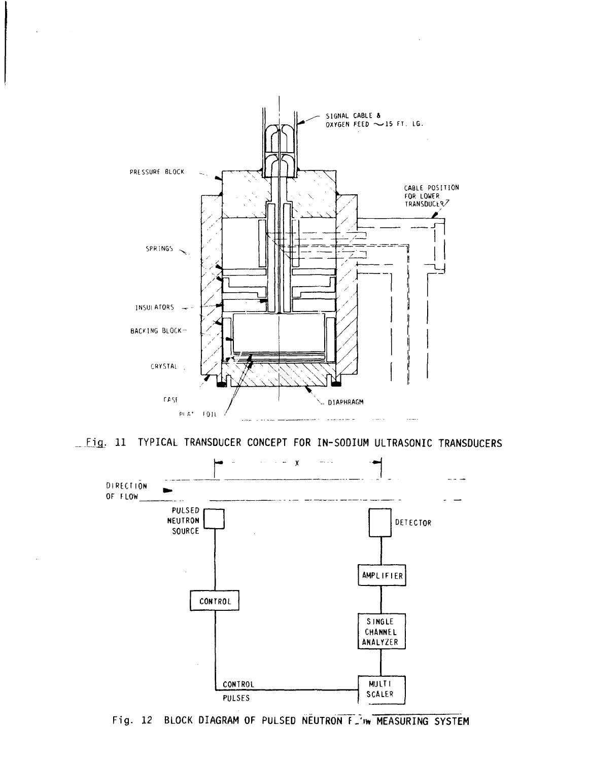

**\_F]1. 11 TYPICAL TRANSDUCER CONCEPT FOR IN-SODIUM ULTRASONIC TRANSDUCERS**



Fig. 12 BLOCK DIAGRAM OF PULSED NEUTRON F. WWW MEASURING SYSTEM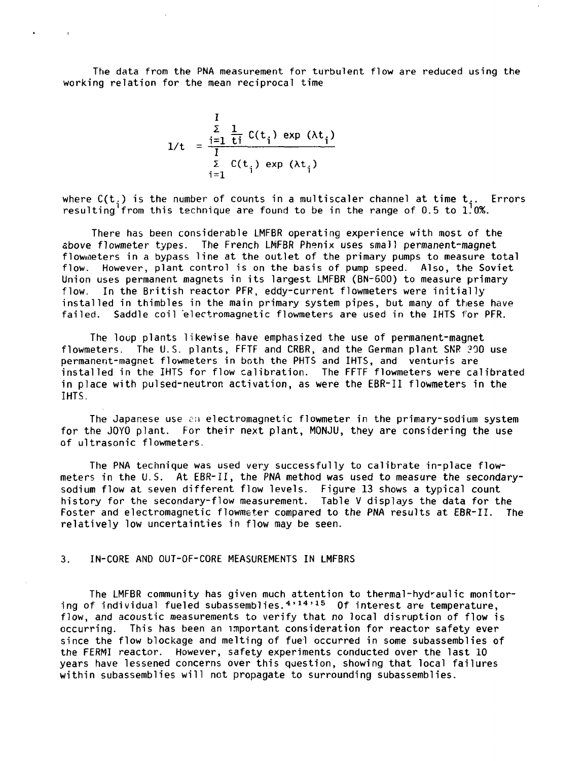The data from the PNA measurement for turbulent flow are reduced using the working relation for the mean reciprocal time

$$
1/t = \frac{\sum_{i=1}^{I} \frac{1}{ti} C(t_i) \exp(\lambda t_i)}{\sum_{i=1}^{I} C(t_i) \exp(\lambda t_i)}
$$

 $\mathbf{r}$  .

 $\sim$  10  $\pm$ 

where  $C(t_1)$  is the number of counts in a multiscaler channel at time  $t_2$ . Errors resulting<sup>1</sup> from this technique are found to be in the range of 0.5 to  $1.0\%$ .

There has been considerable LMFBR operating experience with most of the above flowmeter types. The French LMFBR Phenix uses small permanent-magnet flowmeters in a bypass line at the outlet of the primary pumps to measure total flow. However, plant control is on the basis of pump speed. Also, the Soviet Union uses permanent magnets in its largest LMFBR (BN-600) to measure primary flow. In the British reactor PFR, eddy-current flowmeters were initially installed in thimbles in the main primary system pipes, but many of these have failed. Saddle coil electromagnetic flowmeters are used in the IHTS for PFR.

The loup plants likewise have emphasized the use of permanent-magnet flowmeters. The U.S. plants, FFTF and CRBR, and the German plant SNR 300 use permanent-magnet flowmeters in both the PHTS and IHTS, and Venturis are installed in the IHTS for flow calibration. The FFTF flowmeters were calibrated in place with pulsed-neutron activation, as were the EBR-II flowmeters in the IHTS.

The Japanese use cii electromagnetic flowmeter in the primary-sodium system for the JOYO plant. For their next plant, MONJU, they are considering the use of ultrasonic flowmeters.

The PNA technique was used very successfully to calibrate in-place flowmeters in the U.S. At EBR-II, the PNA method was used to measure the secondarysodium flow at seven different flow levels. Figure 13 shows a typical count history for the secondary-flow measurement. Table V displays the data for the Foster and electromagnetic flowmeter compared to the PNA results at EBR-II. The relatively low uncertainties in flow may be seen.

## 3. IN-CORE AND OUT-OF-CORE MEASUREMENTS IN LMFBRS

The LMFBR community has given much attention to thermal-hydraulic monitoring of individual fueled subassemblies.<sup>4</sup>\* 14>15 Of interest are temperature, flow, and acoustic measurements to verify that no local disruption of flow is occurring. This has been an important consideration for reactor safety ever since the flow blockage and melting of fuel occurred in some subassemblies of the FERMI reactor. However, safety experiments conducted over the last 10 years have lessened concerns over this question, showing that local failures within subassemblies will not propagate to surrounding subassemblies.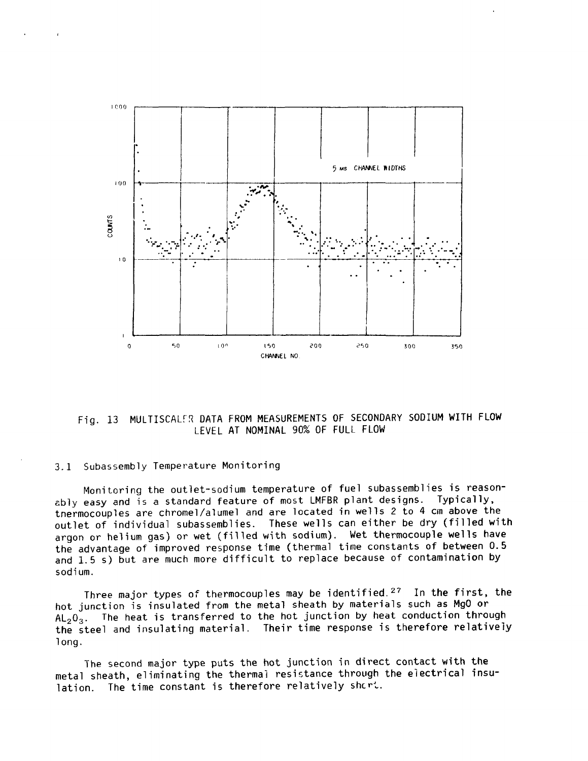

Fig. 13 MULTISCALER DATA FROM MEASUREMENTS OF SECONDARY SODIUM WITH FLOW LEVEL AT NOMINAL 90% OF FULL FLOW

#### 3.1 Subassembly Temperature Monitoring

Monitoring the outlet-sodium temperature of fuel subassemblies is reasonably easy and is a standard feature of most LMFBR plant designs. Typically, tnermocouples are chromel/alumel and are located in wells 2 to 4 cm above the outlet of individual subassemblies. These wells can either be dry (filled with argon or helium gas) or wet (filled with sodium), Wet thermocouple wells have the advantage of improved response time (thermal time constants of between 0.5 and 1.5 s) but are much more difficult to replace because of contamination by sodium.

Three major types of thermocouples may be identified.<sup>27</sup> In the first, the hot junction is insulated from the metal sheath by materials such as MgO or  $AL_2O_3$ . The heat is transferred to the hot junction by heat conduction through the steel and insulating material. Their time response is therefore relatively long.

The second major type puts the hot junction in direct contact with the metal sheath, eliminating the thermal resistance through the electrical insulation. The time constant is therefore relatively short.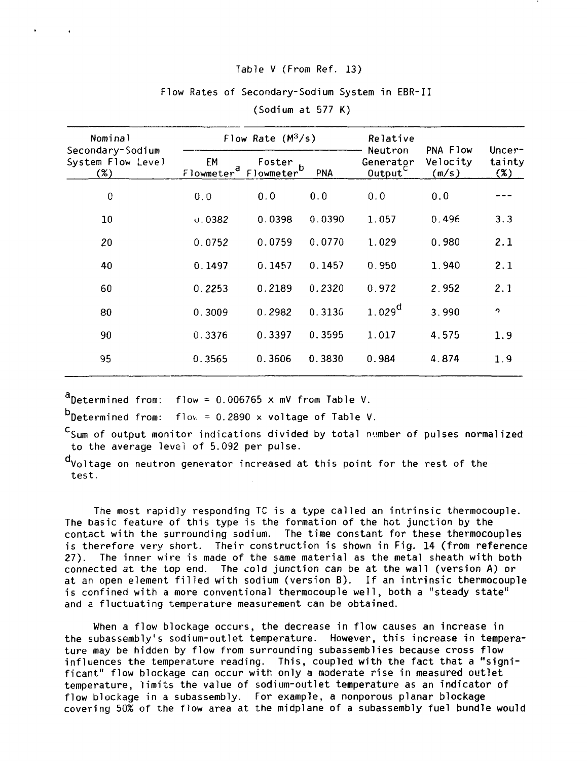### Table V (From Ref. 13)

## Flow Rates of Secondary-Sodium System in EBR-II

| Nominal                                      | Flow Rate $(M^3/s)$          |                                  | Relative |                                   |                               |                         |
|----------------------------------------------|------------------------------|----------------------------------|----------|-----------------------------------|-------------------------------|-------------------------|
| Secondary-Sodium<br>System Flow Level<br>(%) | EМ<br>Flowmeter <sup>a</sup> | Foster<br>Flowmeter <sup>'</sup> | PNA      | Neutron<br>Generator<br>$0$ utput | PNA Flow<br>Velocity<br>(m/s) | Uncer-<br>tainty<br>(%) |
| 0                                            | 0.0                          | 0.0                              | 0.0      | 0.0                               | 0.0                           |                         |
| 10                                           | 0.0382                       | 0.0398                           | 0.0390   | 1.057                             | 0.496                         | 3.3                     |
| 20                                           | 0.0752                       | 0.0759                           | 0.0770   | 1.029                             | 0.980                         | 2.1                     |
| 40                                           | 0.1497                       | 0.1457                           | 0.1457   | 0.950                             | 1.940                         | 2.1                     |
| 60                                           | 0.2253                       | 0.2189                           | 0.2320   | 0.972                             | 2.952                         | 2.1                     |
| 80                                           | 0.3009                       | 0.2982                           | 0.3136   | $1.029^d$                         | 3.990                         | $\bullet$               |
| 90                                           | 0.3376                       | 0.3397                           | 0.3595   | 1.017                             | 4.575                         | 1.9                     |
| 95                                           | 0.3565                       | 0.3606                           | 0.3830   | 0.984                             | 4.874                         | 1.9                     |

(Sodium at 577 K)

Determined from: flow = 0.006765 x mV from Table V.

Determined from:  $f \mid v = 0.2890 \times v_0$ ltage of Table V.

 $c_{\text{Sum of output monitor indications divided by total number of pulses normalized}$ to the average level of 5.092 per pulse.

d<sub>Voltage</sub> on neutron generator increased at this point for the rest of the test.

The most rapidly responding TC is a type called an intrinsic thermocouple. The basic feature of this type is the formation of the hot junction by the contact with the surrounding sodium. The time constant for these thermocouples is therefore very short. Their construction is shown in Fig. 14 (from reference 27). The inner wire is made of the same material as the metal sheath with both connected at the top end. The cold junction can be at the wall (version A) or at an open element filled with sodium (version B). If an intrinsic thermocouple is confined with a more conventional thermocouple well, both a "steady state" and a fluctuating temperature measurement can be obtained.

When a flow blockage occurs, the decrease in flow causes an increase in the subassembly's sodium-outlet temperature. However, this increase in temperature may be hidden by flow from surrounding subassemblies because cross flow influences the temperature reading. This, coupled with the fact that a "significant" flow blockage can occur with only a moderate rise in measured outlet temperature, limits the value of sodium-outlet temperature as an indicator of flow blockage in a subassembly. For example, a nonporous planar blockage covering 50% of the flow area at the midplane of a subassembly fuel bundle would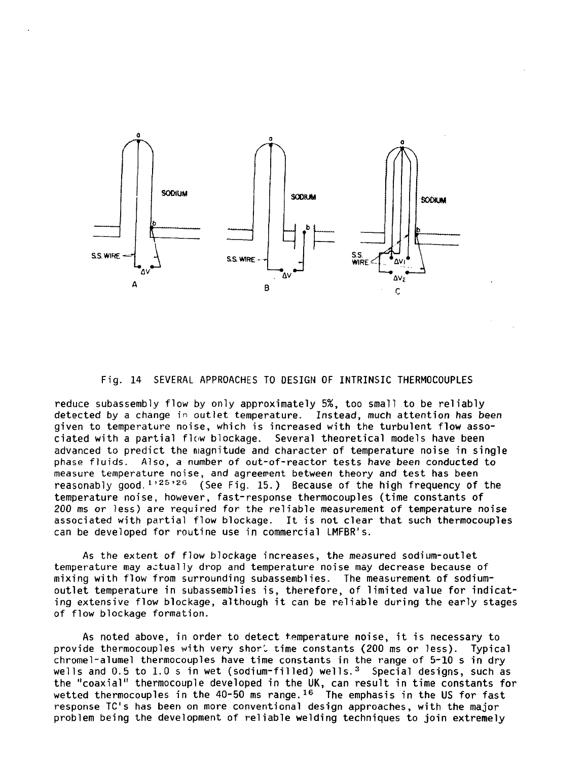

Fig. 14 SEVERAL APPROACHES TO DESIGN OF INTRINSIC THERMOCOUPLES

reduce subassembly flow by only approximately 5%, too small to be reliably detected by a change in outlet temperature. Instead, much attention has been given to temperature noise, which is increased with the turbulent flow associated with a partial flow blockage. Several theoretical models have been advanced to predict the magnitude and character of temperature noise in single phase fluids. Also, a number of out-of-reactor tests have been conducted to measure temperature noise, and agreement between theory and test has been reasonably good.<sup>1,25,26</sup> (See Fig. 15.) Because of the high frequency of the temperature noise, however, fast-response thermocouples (time constants of 200 ms or less) are required for the reliable measurement of temperature noise associated with partial flow blockage. It is not clear that such thermocouples can be developed for routine use in commercial LMFBR's.

As the extent of flow blockage increases, the measured sodium-outlet temperature may actually drop and temperature noise may decrease because of mixing with flow from surrounding subassemblies. The measurement of sodiumoutlet temperature in subassemblies is, therefore, of limited value for indicating extensive flow blockage, although it can be reliable during the early stages of flow blockage formation.

As noted above, in order to detect temperature noise, it is necessary to provide thermocouples with very shor' time constants (200 ms or less). Typical chromel-alumel thermocouples have time constants in the range of 5-10 s in dry wells and  $0.5$  to  $1.0$  s in wet (sodium-filled) wells.<sup>3</sup> Special designs, such as the "coaxial" thermocouple developed in the UK, can result in time constants for wetted thermocouples in the 40-50 ms range.<sup>16</sup> The emphasis in the US for fast response TC's has been on more conventional design approaches, with the major problem being the development of reliable welding techniques to join extremely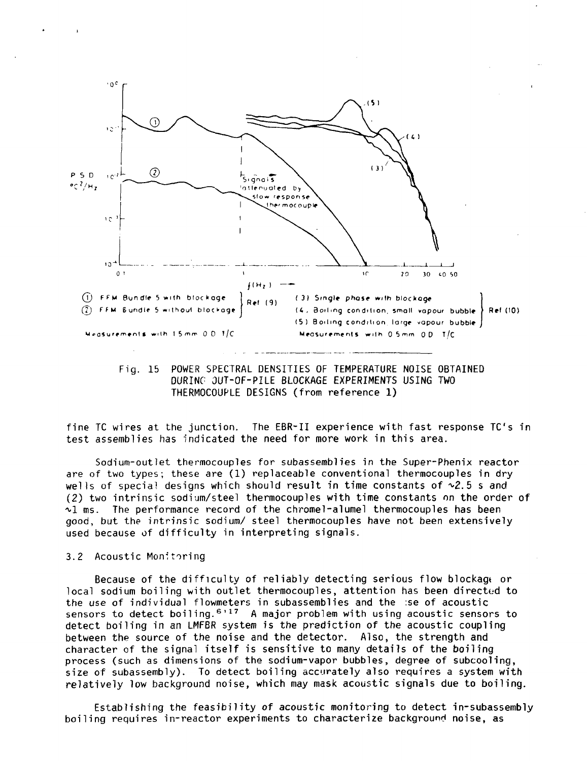

Fig. 15 POWER SPECTRAL DENSITIES OF TEMPERATURE NOISE OBTAINED DURING OUT-OF-PILE BLOCKAGE EXPERIMENTS USING TWO THERMOCOUPLE DESIGNS (from reference 1)

fine TC wires at the junction. The EBR-II experience with fast response TC's in test assemblies has "indicated the need for more work in this area.

Sodium-outlet thermocouples for subassemblies in the Super-Phenix reactor are of two types; these are (1) replaceable conventional thermocouples in dry wells of special designs which should result in time constants of  $\sim 2.5$  s and (2) two intrinsic sodium/steel thermocouples with time constants on the order of  $\sim$ 1 ms. The performance record of the chromel-alumel thermocouples has been good, but the intrinsic sodium/ steel thermocouples have not been extensively used because of difficulty in interpreting signals.

## 3.2 Acoustic Monitoring

Because of the difficulty of reliably detecting serious flow blockagt or local sodium boiling with outlet thermocouples, attention has been directed to the use of individual flowmeters in subassemblies and the :se of acoustic sensors to detect boiling.<sup>6,17</sup> A major problem with using acoustic sensors to detect boiling in an LMFBR system is the prediction of the acoustic coupling between the source of the noise and the detector. Also, the strength and character of the signal itself is sensitive to many details of the boiling process (such as dimensions of the sodium-vapor bubbles, degree of subcooling, size of subassembly). To detect boiling accurately also requires a system with relatively low background noise, which may mask acoustic signals due to boiling.

Establishing the feasibility of acoustic monitoring to detect in-subassembly boiling requires in-reactor experiments to characterize background noise, as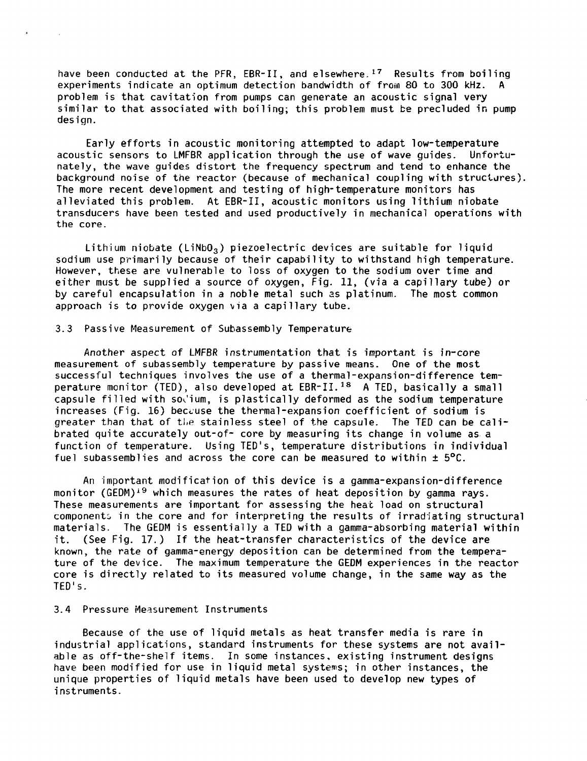have been conducted at the PFR, EBR-II, and elsewhere.<sup>17</sup> Results from boiling experiments indicate an optimum detection bandwidth of from 80 to 300 kHz. A problem is that cavitation from pumps can generate an acoustic signal very similar to that associated with boiling; this problem must be precluded in pump desian.

Early efforts in acoustic monitoring attempted to adapt low-temperature<br>tic sensors to LMEBR application through the use of wave quides. Unfortuacoustic sensors to LMFBR application through the use of wave guides. nately, the wave guides distort the frequency spectrum and tend to enhance the background noise of the reactor (because of mechanical coupling with structures). The more recent development and testing of high-temperature monitors has alleviated this problem. At EBR-II, acoustic monitors using lithium niobate transducers have been tested and used productively in mechanical operations with the core.

Lithium niobate (LiNbO<sub>3</sub>) piezoelectric devices are suitable for liquid sodium use primarily because of their capability to withstand high temperature. However, these are vulnerable to loss of oxygen to the sodium over time and either must be supplied a source of oxygen, Fig. 11, (via a capillary tube) or by careful encapsulation in a noble metal such as platinum. The most common approach is to provide oxygen via a capillary tube.

#### 3.3 Passive Measurement of Subassembly Temperature

s.

Another aspect of LMFBR instrumentation that is important is in-core measurement of subassembly temperature by passive means. One of the most successful techniques involves the use of a thermal-expansion-difference temperature monitor (TED), also developed at  $EBR - II.$ <sup>18</sup> A TED, basically a small capsule filled with sodium, is plastically deformed as the sodium temperature increases (Fig. 16) because the thermal-expansion coefficient of sodium is greater than that of the stainless steel of the capsule. The TED can be calibrated quite accurately out-of- core by measuring its change in volume as a function of temperature. Using TED's, temperature distributions in individual fuel subassemblies and across the core can be measured to within  $\pm$  5°C.

An important modification of this device is a gamma-expansion-difference monitor (GEDM)<sup>19</sup> which measures the rates of heat deposition by gamma rays. These measurements are important for assessing the heat load on structural components in the core and for interpreting the results of irradiating structural materials. The GEDM is essentially a TED with a gamma-absorbing material within it. (See Fig. 17.) If the heat-transfer characteristics of the device are known, the rate of gamma-energy deposition can be determined from the temperature of the device. The maximum temperature the GEDM experiences in the reactor core is directly related to its measured volume change, in the same way as the TED's.

#### 3.4 Pressure Measurement Instruments

Because of the use of liquid metals as heat transfer media is rare in industrial applications, standard instruments for these systems are not available as off-the-shelf items. In some instances, existing instrument designs have been modified for use in liquid metal systems; in other instances, the unique properties of liquid metals have been used to develop new types of instruments.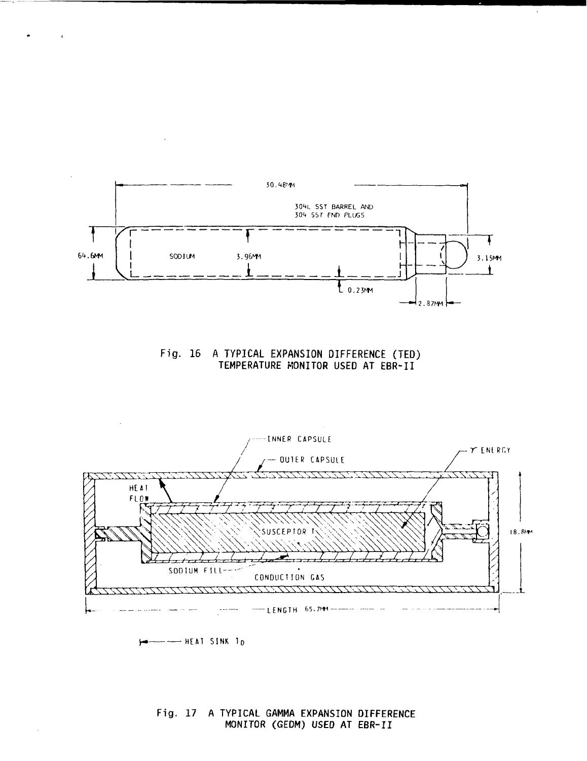

 $\mathcal{L}$ 





**HEAT SINK T<sup>o</sup>**

 $\mathcal{A}$ 

 $\mathbf{r}$ 

**Fig. 17 A TYPICAL GAMMA EXPANSION DIFFERENCE MONITOR (GEDM) USED AT EBR-II**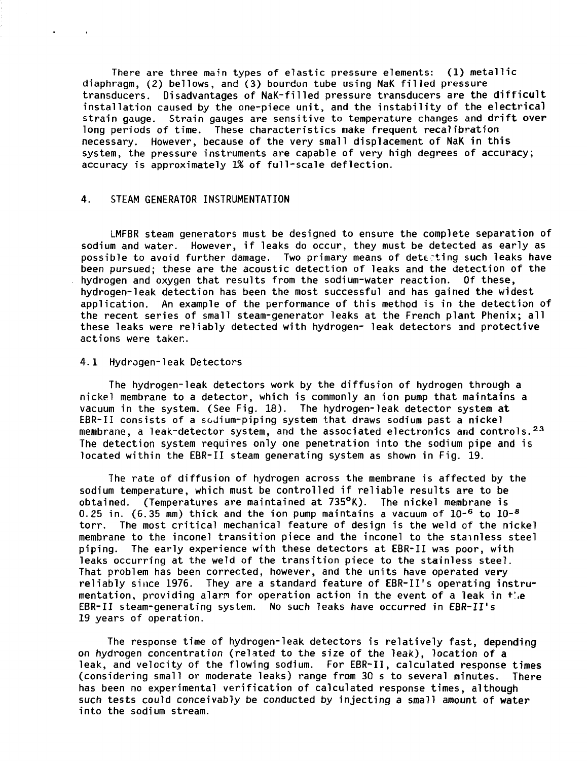There are three main types of elastic pressure elements: (1) metallic diaphragm, (2) bellows, and (3) bourdon tube using NaK filled pressure transducers. Disadvantages of NaK-filled pressure transducers are the difficult installation caused by the one-piece unit, and the instability of the electrical strain gauge. Strain gauges are sensitive to temperature changes and drift over long periods of time. These characteristics make frequent recalibration necessary. However, because of the very small displacement of NaK in this system, the pressure instruments are capable of very high degrees of accuracy; accuracy is approximately 1% of full-scale deflection.

## 4. STEAM GENERATOR INSTRUMENTATION

 $\alpha$ 

 $\sim$  100  $\pm$ 

LMFBR steam generators must be designed to ensure the complete separation of sodium and water. However, if leaks do occur, they must be detected as early as possible to avoid further damage. Two primary means of detecting such leaks have been pursued; these are the acoustic detection of leaks and the detection of the hydrogen and oxygen that results from the sodium-water reaction. Of these, hydrogen-leak detection has been the most successful and has gained the widest application. An example of the performance of this method is in the detection of the recent series of small steam-generator leaks at the French plant Phenix; all these leaks were reliably detected with hydrogen- leak detectors and protective actions were taken.

#### 4.1 Hydrogen-leak Detectors

The hydrogen-leak detectors work by the diffusion of hydrogen through a nickel membrane to a detector, which is commonly an ion pump that maintains a vacuum in the system. (See Fig. 18). The hydrogen-leak detector system at EBR-II consists of a sodium-piping system that draws sodium past a nickel membrane, a leak-detector system, and the associated electronics and controls.<sup>23</sup> The detection system requires only one penetration into the sodium pipe and is located within the EBR-II steam generating system as shown in Fig. 19.

The rate of diffusion of hydrogen across the membrane is affected by the sodium temperature, which must be controlled if reliable results are to be obtained. (Temperatures are maintained at 735°K). The nickel membrane is 0.25 in. (6.35 mm) thick and the ion pump maintains a vacuum of  $10^{-6}$  to  $10^{-8}$ torr. The most critical mechanical feature of design is the weld of the nickel membrane to the inconel transition piece and the inconel to the stainless steel piping. The early experience with these detectors at EBR-II was poor, with leaks occurring at the weld of the transition piece to the stainless steel. That problem has been corrected, however, and the units have operated very reliably since 1976. They are a standard feature of EBR-II's operating instrumentation, providing alarm for operation action in the event of a leak in  $t^*$ . EBR-II steam-generating system. No such leaks have occurred in EBR-II's 19 years of operation.

The response time of hydrogen-leak detectors is relatively fast, depending on hydrogen concentration (related to the size of the leak), location of a leak, and velocity of the flowing sodium. For EBR-II, calculated response times (considering small or moderate leaks) range from 30 s to several minutes. There has been no experimental verification of calculated response times, although such tests could conceivably be conducted by injecting a small amount of water into the sodium stream.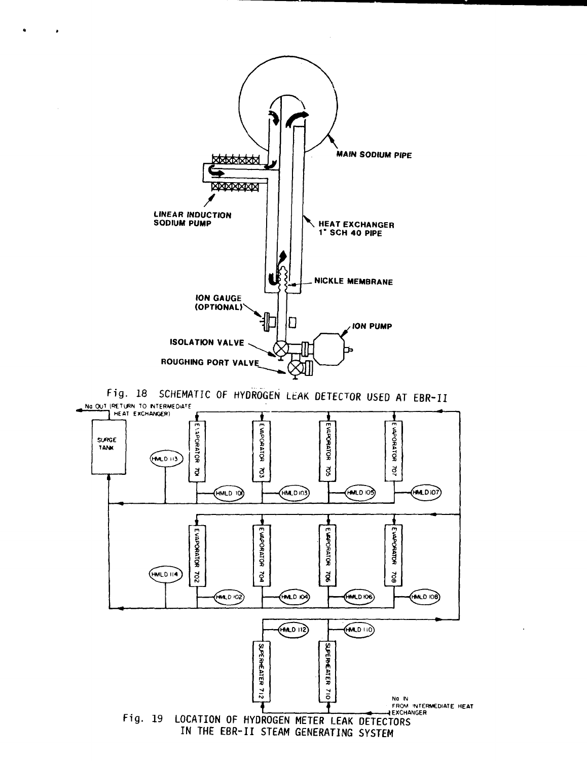

 $\bullet$ 

Fig. 18 SCHEMATIC OF HYDROGEN LEAK DETECTOR USED AT EBR-II **No OUT |P£TlFN 10 MTERMEDiA^E**

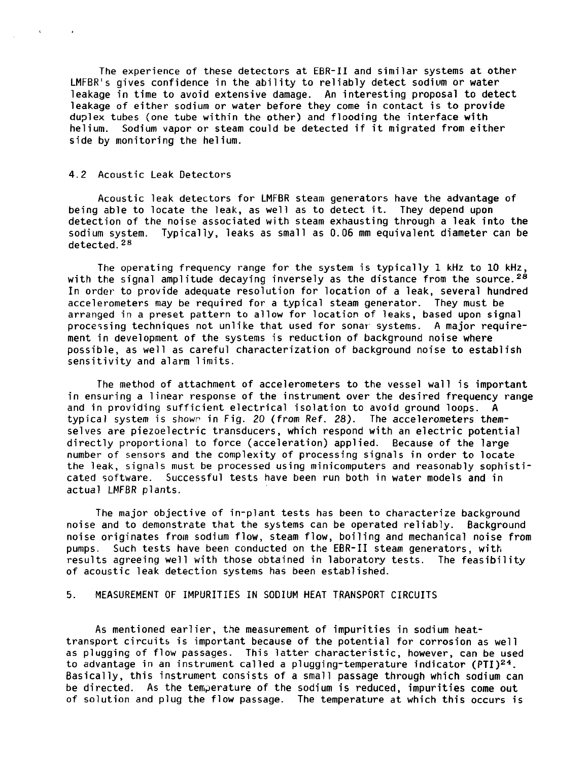The experience of these detectors at EBR-II and similar systems at other LMFBR's gives confidence in the ability to reliably detect sodium or water leakage in time to avoid extensive damage. An interesting proposal to detect leakage of either sodium or water before they come in contact is to provide duplex tubes (one tube within the other) and flooding the interface with helium. Sodium vapor or steam could be detected if it migrated from either side by monitoring the helium.

#### 4.2 Acoustic Leak Detectors

 $\epsilon$ 

 $\sim 10^{-1}$ 

Acoustic leak detectors for LMFBR steam generators have the advantage of being able to locate the leak, as well as to detect it. They depend upon detection of the noise associated with steam exhausting through a leak into the sodium system. Typically, leaks as small as 0.06 mm equivalent diameter can be detected.<sup>28</sup>

The operating frequency range for the system is typically 1 kHz to 10 kHz, with the signal amplitude decaying inversely as the distance from the source.<sup>28</sup> In order to provide adequate resolution for location of a leak, several hundred accelerometers may be required for a typical steam generator. They must be arranged in a preset pattern to allow for location of leaks, based upon signal processing techniques not unlike that used for sonar systems. A major requirement in development of the systems is reduction of background noise where possible, as well as careful characterization of background noise to establish sensitivity and alarm limits.

The method of attachment of accelerometers to the vessel wall is important in ensuring a linear response of the instrument over the desired frequency range and in providing sufficient electrical isolation to avoid ground loops. A typical system is shown in Fig. 20 (from Ref. 28). The accelerometers themselves are piezoelectric transducers, which respond with an electric potential directly proportional to force (acceleration) applied. Because of the large number of sensors and the complexity of processing signals in order to locate the leak, signals must be processed using minicomputers and reasonably sophisticated software. Successful tests have been run both in water models and in actual LMFBR plants.

The major objective of in-plant tests has been to characterize background noise and to demonstrate that the systems can be operated reliably. Background noise originates from sodium flow, steam flow, boiling and mechanical noise from pumps. Such tests have been conducted on the EBR-II steam generators, with results agreeing well with those obtained in laboratory tests. The feasibility of acoustic leak detection systems has been established.

# 5. MEASUREMENT OF IMPURITIES IN SODIUM HEAT TRANSPORT CIRCUITS

As mentioned earlier, the measurement of impurities in sodium heattransport circuits is important because of the potential for corrosion as well as plugging of flow passages. This latter characteristic, however, can be used to advantage in an instrument called a plugging-temperature indicator (PTI)<sup>24</sup>. Basically, this instrument consists of a small passage through which sodium can be directed. As the temperature of the sodium is reduced, impurities come out of solution and plug the flow passage. The temperature at which this occurs is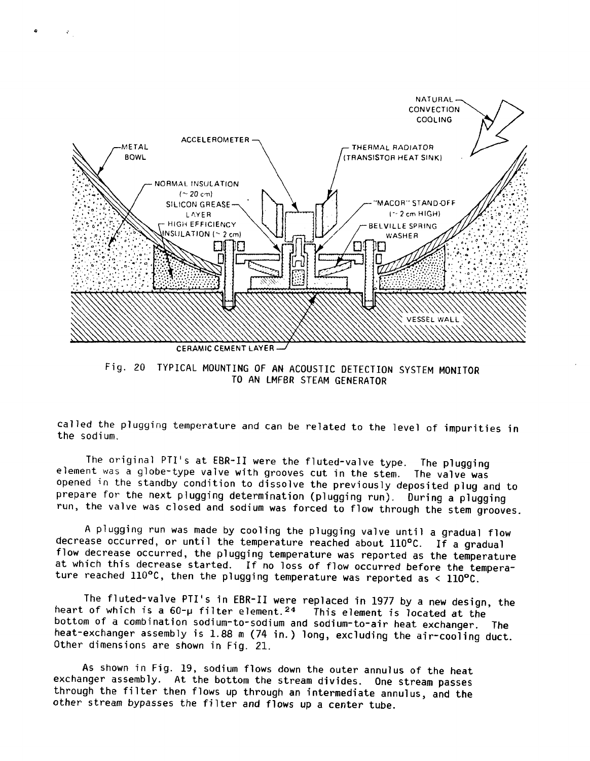

 $\mathcal{L}_{\rm{in}}$ 

Fig. 20 TYPICAL MOUNTING OF AN ACOUSTIC DETECTION SYSTEM MONITOR TO AN LMFBR STEAM GENERATOR

called the plugging temperature and can be related to the level of impurities in the sodium.

The original PTI's at EBR-II were the fluted-valve type. The plugging element was a globe-type valve with grooves cut in the stem. The valve was opened in the standby condition to dissolve the previously deposited plug and to prepare for the next plugging determination (plugging run). During a plugging run, the valve was closed and sodium was forced to flow through the stem grooves.

A plugging run was made by cooling the plugging valve until a gradual flow decrease occurred, or until the temperature reached about 110°C. If a gradual flow decrease occurred, the plugging temperature was reported as the temperature at which this decrease started. If no loss of flow occurred before the temperature reached 110°C, then the plugging temperature was reported as < 110°C.

The fluted-valve PTI's in EBR-II were replaced in 1977 by a new design, the heart of which is a  $60$ -µ filter element.<sup>24</sup> This element is located at the bottom of a combination sodium-to-sodium and sodium-to-air heat exchanger. The heat-exchanger assembly is 1.88 m (74 in.) long, excluding the air-cooling duct. Other dimensions are shown in Fig. 21.

As shown in Fig. 19, sodium flows down the outer annulus of the heat exchanger assembly. At the bottom the stream divides. One stream passes through the filter then flows up through an intermediate annulus, and the other stream bypasses the filter and flows up a center tube.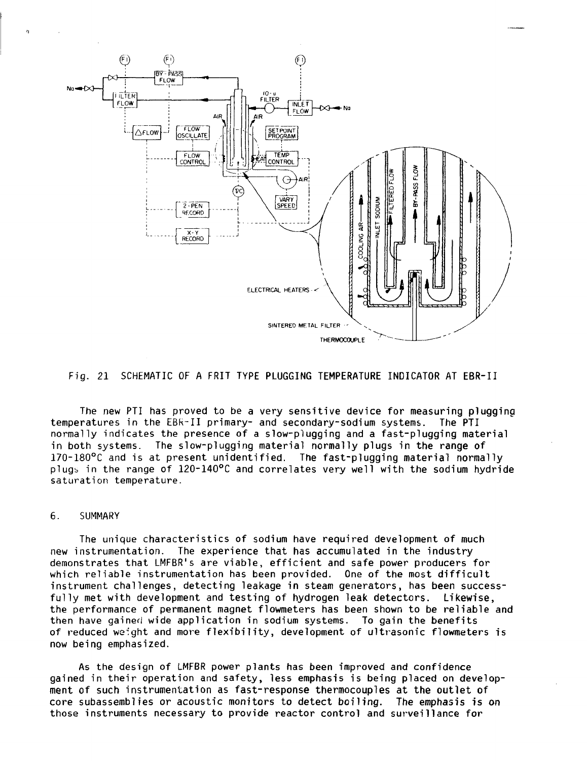

#### Fig. 21 SCHEMATIC OF A FRIT TYPE PLUGGING TEMPERATURE INDICATOR AT EBR-II

The new PTI has proved to be a very sensitive device for measuring plugging<br>ratures in the EBR-II primary- and secondary-sodium systems. The PTI temperatures in the EBR-II primary- and secondary-sodium systems. normally indicates the presence of a slow-plugging and a fast-plugging material in both systems. The slow-plugging material normally plugs in the range of 170-180°C and is at present unidentified. The fast-plugging material normally plugb in the range of 120-140°C and correlates very well with the sodium hydride saturation temperature.

#### 6. SUMMARY

The unique characteristics of sodium have required development of much<br>new instrumentation. The experience that has accumulated in the industry The experience that has accumulated in the industry demonstrates that LMFBR's are viable, efficient and safe power producers for which reliable instrumentation has been provided. One of the most difficult instrument challenges, detecting leakage in steam generators, has been successfully met with development and testing of hydrogen leak detectors. Likewise, the performance of permanent magnet flowmeters has been shown to be reliable and then have gained wide application in sodium systems. To gain the benefits of reduced weight and more flexibility, development of ultrasonic flowmeters is now being emphasized.

As the design of LMFBR power plants has been improved and confidence gained in their operation and safety, less emphasis is being placed on development of such instrumentation as fast-response thermocouples at the outlet of core subassemblies or acoustic monitors to detect boiling. The emphasis is on those instruments necessary to provide reactor control and surveillance for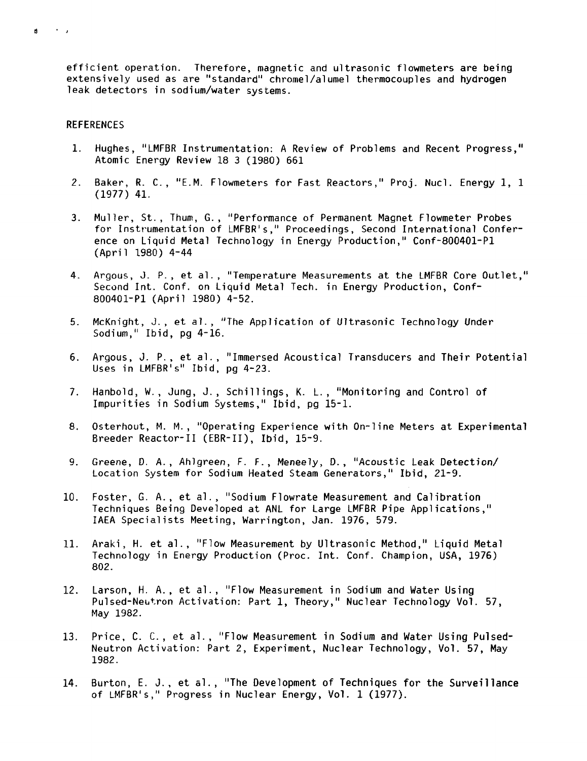efficient operation. Therefore, magnetic and ultrasonic flowmeters are being extensively used as are "standard" chromel/alumel thermocouples and hydrogen leak detectors in sodium/water systems.

#### **REFERENCES**

 $\sim$  10  $\sim$  10  $\mu$  $\mathbf{A}$ 

- 1. Hughes, "LMFBR Instrumentation: A Review of Problems and Recent Progress," Atomic Energy Review 18 3 (1980) 661
- 2. Baker, R. C., "E.M. Flowmeters for Fast Reactors," Proj. Nucl. Energy 1, 1 (1977) 41.
- 3. Muller, St., Thum, G., "Performance of Permanent Magnet Flowmeter Probes for Instrumentation of LMFBR's," Proceedings, Second International Conference on Liquid Metal Technology in Energy Production," Conf-800401-PI (April 1980) 4-44
- 4. Argous, J. P., et al., "Temperature Measurements at the LMFBR Core Outlet," Second Int. Conf. on Liquid Metal Tech. in Energy Production, Conf-800401-P1 (April 1980) 4-52.
- 5. McKnight, J., et al., "The Application of Ultrasonic Technology Under Sodium," Ibid, pg 4-16.
- 6. Argous, J. P., et al., "Immersed Acoustical Transducers and Their Potential Uses in LMFBR's" Ibid, pg 4-23.
- 7. Hanbold, W., Jung, J., Schillings, K. L., "Monitoring and Control of Impurities in Sodium Systems," Ibid, pg 15-1.
- 8. Osterhout, M. M., "Operating Experience with On-line Meters at Experimental Breeder Reactor-II (EBR-II), Ibid, 15-9.
- 9. Greene, D. A., Ahlgreen, F. F., Meneely, D., "Acoustic Leak Detection/ Location System for Sodium Heated Steam Generators," Ibid, 21-9.
- 10. Foster, G. A., et al., "Sodium Flowrate Measurement and Calibration Techniques Being Developed at ANL for Large LMFBR Pipe Applications," IAEA Specialists Meeting, Warrington, Jan. 1976, 579.
- 11. Araki, H. et al., "Flow Measurement by Ultrasonic Method," Liquid Metal Technology in Energy Production (Proc. Int. Conf. Champion, USA, 1976) 802.
- 12. Larson, H. A., et al., "Flow Measurement in Sodium and Water Using Pulsed-Neutron Activation: Part 1, Theory," Nuclear Technology Vol. 57, May 1982.
- 13. Price, C. C. , et al., "Flow Measurement in Sodium and Water Using Pulsed-Neutron Activation: Part 2, Experiment, Nuclear Technology, Vol. 57, May 1982.
- 14. Burton, E. J., et al., "The Development of Techniques for the Surveillance of LMFBR's," Progress in Nuclear Energy, Vol. 1 (1977).